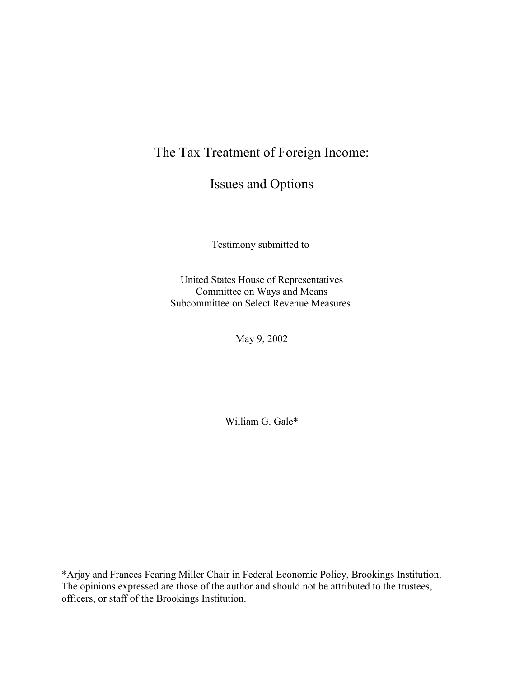The Tax Treatment of Foreign Income:

Issues and Options

Testimony submitted to

United States House of Representatives Committee on Ways and Means Subcommittee on Select Revenue Measures

May 9, 2002

William G. Gale\*

\*Arjay and Frances Fearing Miller Chair in Federal Economic Policy, Brookings Institution. The opinions expressed are those of the author and should not be attributed to the trustees, officers, or staff of the Brookings Institution.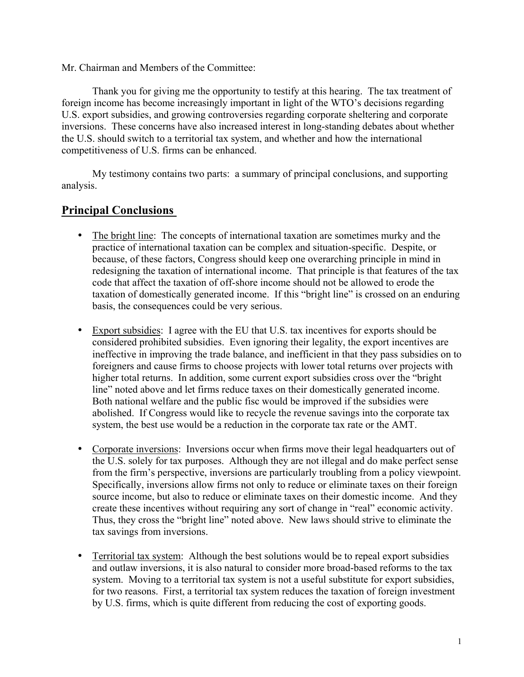Mr. Chairman and Members of the Committee:

Thank you for giving me the opportunity to testify at this hearing. The tax treatment of foreign income has become increasingly important in light of the WTO's decisions regarding U.S. export subsidies, and growing controversies regarding corporate sheltering and corporate inversions. These concerns have also increased interest in long-standing debates about whether the U.S. should switch to a territorial tax system, and whether and how the international competitiveness of U.S. firms can be enhanced.

My testimony contains two parts: a summary of principal conclusions, and supporting analysis.

# **Principal Conclusions**

- The bright line: The concepts of international taxation are sometimes murky and the practice of international taxation can be complex and situation-specific. Despite, or because, of these factors, Congress should keep one overarching principle in mind in redesigning the taxation of international income. That principle is that features of the tax code that affect the taxation of off-shore income should not be allowed to erode the taxation of domestically generated income. If this "bright line" is crossed on an enduring basis, the consequences could be very serious.
- Export subsidies: I agree with the EU that U.S. tax incentives for exports should be considered prohibited subsidies. Even ignoring their legality, the export incentives are ineffective in improving the trade balance, and inefficient in that they pass subsidies on to foreigners and cause firms to choose projects with lower total returns over projects with higher total returns. In addition, some current export subsidies cross over the "bright line" noted above and let firms reduce taxes on their domestically generated income. Both national welfare and the public fisc would be improved if the subsidies were abolished. If Congress would like to recycle the revenue savings into the corporate tax system, the best use would be a reduction in the corporate tax rate or the AMT.
- Corporate inversions: Inversions occur when firms move their legal headquarters out of the U.S. solely for tax purposes. Although they are not illegal and do make perfect sense from the firm's perspective, inversions are particularly troubling from a policy viewpoint. Specifically, inversions allow firms not only to reduce or eliminate taxes on their foreign source income, but also to reduce or eliminate taxes on their domestic income. And they create these incentives without requiring any sort of change in "real" economic activity. Thus, they cross the "bright line" noted above. New laws should strive to eliminate the tax savings from inversions.
- Territorial tax system: Although the best solutions would be to repeal export subsidies and outlaw inversions, it is also natural to consider more broad-based reforms to the tax system. Moving to a territorial tax system is not a useful substitute for export subsidies, for two reasons. First, a territorial tax system reduces the taxation of foreign investment by U.S. firms, which is quite different from reducing the cost of exporting goods.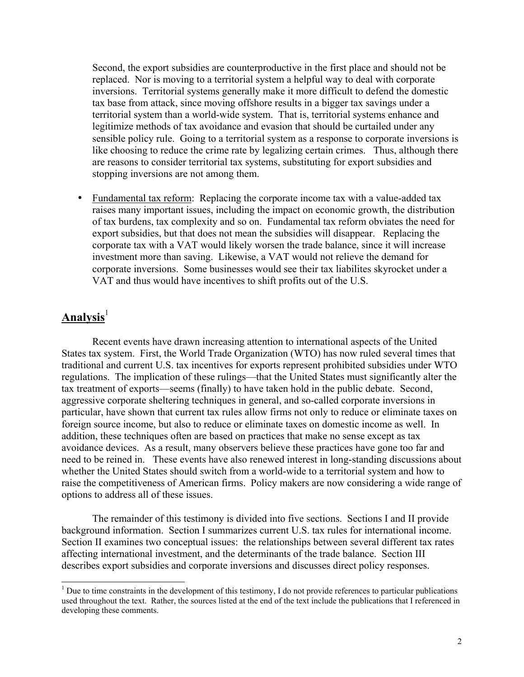Second, the export subsidies are counterproductive in the first place and should not be replaced. Nor is moving to a territorial system a helpful way to deal with corporate inversions. Territorial systems generally make it more difficult to defend the domestic tax base from attack, since moving offshore results in a bigger tax savings under a territorial system than a world-wide system. That is, territorial systems enhance and legitimize methods of tax avoidance and evasion that should be curtailed under any sensible policy rule. Going to a territorial system as a response to corporate inversions is like choosing to reduce the crime rate by legalizing certain crimes. Thus, although there are reasons to consider territorial tax systems, substituting for export subsidies and stopping inversions are not among them.

• Fundamental tax reform: Replacing the corporate income tax with a value-added tax raises many important issues, including the impact on economic growth, the distribution of tax burdens, tax complexity and so on. Fundamental tax reform obviates the need for export subsidies, but that does not mean the subsidies will disappear. Replacing the corporate tax with a VAT would likely worsen the trade balance, since it will increase investment more than saving. Likewise, a VAT would not relieve the demand for corporate inversions. Some businesses would see their tax liabilites skyrocket under a VAT and thus would have incentives to shift profits out of the U.S.

# Analysis<sup>[1](#page-2-0)</sup>

-

Recent events have drawn increasing attention to international aspects of the United States tax system. First, the World Trade Organization (WTO) has now ruled several times that traditional and current U.S. tax incentives for exports represent prohibited subsidies under WTO regulations. The implication of these rulings—that the United States must significantly alter the tax treatment of exports—seems (finally) to have taken hold in the public debate. Second, aggressive corporate sheltering techniques in general, and so-called corporate inversions in particular, have shown that current tax rules allow firms not only to reduce or eliminate taxes on foreign source income, but also to reduce or eliminate taxes on domestic income as well. In addition, these techniques often are based on practices that make no sense except as tax avoidance devices. As a result, many observers believe these practices have gone too far and need to be reined in. These events have also renewed interest in long-standing discussions about whether the United States should switch from a world-wide to a territorial system and how to raise the competitiveness of American firms. Policy makers are now considering a wide range of options to address all of these issues.

The remainder of this testimony is divided into five sections. Sections I and II provide background information. Section I summarizes current U.S. tax rules for international income. Section II examines two conceptual issues: the relationships between several different tax rates affecting international investment, and the determinants of the trade balance. Section III describes export subsidies and corporate inversions and discusses direct policy responses.

<span id="page-2-0"></span> $<sup>1</sup>$  Due to time constraints in the development of this testimony, I do not provide references to particular publications</sup> used throughout the text. Rather, the sources listed at the end of the text include the publications that I referenced in developing these comments.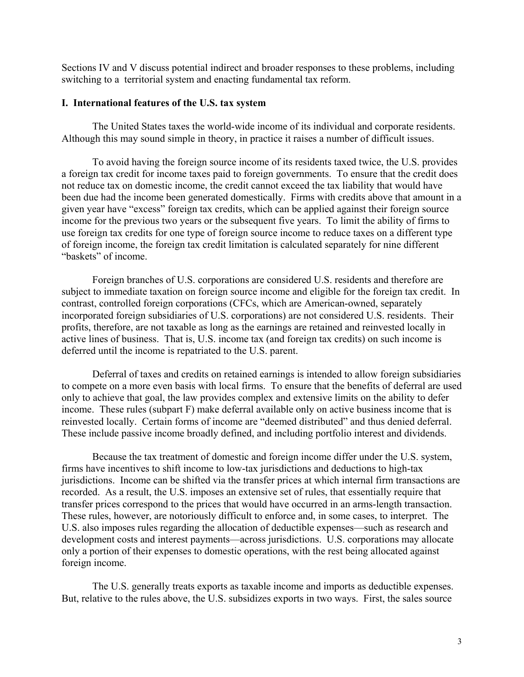Sections IV and V discuss potential indirect and broader responses to these problems, including switching to a territorial system and enacting fundamental tax reform.

#### **I. International features of the U.S. tax system**

The United States taxes the world-wide income of its individual and corporate residents. Although this may sound simple in theory, in practice it raises a number of difficult issues.

To avoid having the foreign source income of its residents taxed twice, the U.S. provides a foreign tax credit for income taxes paid to foreign governments. To ensure that the credit does not reduce tax on domestic income, the credit cannot exceed the tax liability that would have been due had the income been generated domestically. Firms with credits above that amount in a given year have "excess" foreign tax credits, which can be applied against their foreign source income for the previous two years or the subsequent five years. To limit the ability of firms to use foreign tax credits for one type of foreign source income to reduce taxes on a different type of foreign income, the foreign tax credit limitation is calculated separately for nine different "baskets" of income.

Foreign branches of U.S. corporations are considered U.S. residents and therefore are subject to immediate taxation on foreign source income and eligible for the foreign tax credit. In contrast, controlled foreign corporations (CFCs, which are American-owned, separately incorporated foreign subsidiaries of U.S. corporations) are not considered U.S. residents. Their profits, therefore, are not taxable as long as the earnings are retained and reinvested locally in active lines of business. That is, U.S. income tax (and foreign tax credits) on such income is deferred until the income is repatriated to the U.S. parent.

Deferral of taxes and credits on retained earnings is intended to allow foreign subsidiaries to compete on a more even basis with local firms. To ensure that the benefits of deferral are used only to achieve that goal, the law provides complex and extensive limits on the ability to defer income. These rules (subpart F) make deferral available only on active business income that is reinvested locally. Certain forms of income are "deemed distributed" and thus denied deferral. These include passive income broadly defined, and including portfolio interest and dividends.

Because the tax treatment of domestic and foreign income differ under the U.S. system, firms have incentives to shift income to low-tax jurisdictions and deductions to high-tax jurisdictions. Income can be shifted via the transfer prices at which internal firm transactions are recorded. As a result, the U.S. imposes an extensive set of rules, that essentially require that transfer prices correspond to the prices that would have occurred in an arms-length transaction. These rules, however, are notoriously difficult to enforce and, in some cases, to interpret. The U.S. also imposes rules regarding the allocation of deductible expenses—such as research and development costs and interest payments—across jurisdictions. U.S. corporations may allocate only a portion of their expenses to domestic operations, with the rest being allocated against foreign income.

The U.S. generally treats exports as taxable income and imports as deductible expenses. But, relative to the rules above, the U.S. subsidizes exports in two ways. First, the sales source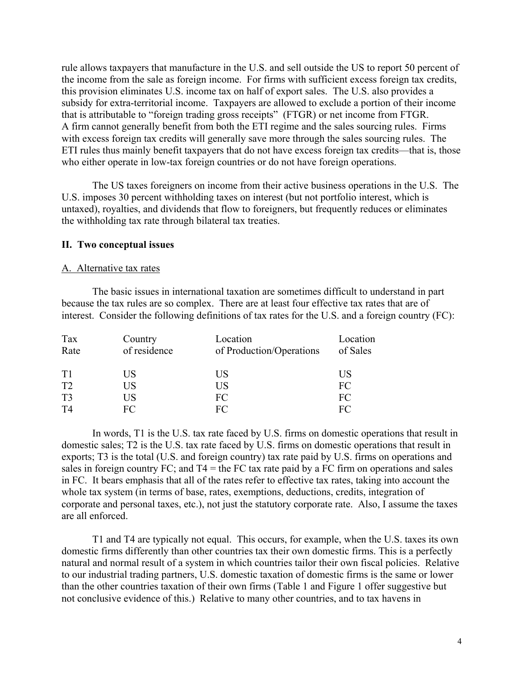rule allows taxpayers that manufacture in the U.S. and sell outside the US to report 50 percent of the income from the sale as foreign income. For firms with sufficient excess foreign tax credits, this provision eliminates U.S. income tax on half of export sales. The U.S. also provides a subsidy for extra-territorial income. Taxpayers are allowed to exclude a portion of their income that is attributable to "foreign trading gross receipts" (FTGR) or net income from FTGR. A firm cannot generally benefit from both the ETI regime and the sales sourcing rules. Firms with excess foreign tax credits will generally save more through the sales sourcing rules. The ETI rules thus mainly benefit taxpayers that do not have excess foreign tax credits—that is, those who either operate in low-tax foreign countries or do not have foreign operations.

The US taxes foreigners on income from their active business operations in the U.S. The U.S. imposes 30 percent withholding taxes on interest (but not portfolio interest, which is untaxed), royalties, and dividends that flow to foreigners, but frequently reduces or eliminates the withholding tax rate through bilateral tax treaties.

#### **II. Two conceptual issues**

#### A. Alternative tax rates

The basic issues in international taxation are sometimes difficult to understand in part because the tax rules are so complex. There are at least four effective tax rates that are of interest. Consider the following definitions of tax rates for the U.S. and a foreign country (FC):

| Tax<br>Rate    | Country<br>of residence | Location<br>of Production/Operations | Location<br>of Sales |
|----------------|-------------------------|--------------------------------------|----------------------|
| T1             | <b>US</b>               | US                                   | US                   |
| T <sub>2</sub> | <b>US</b>               | US                                   | FC                   |
| T <sub>3</sub> | US                      | FC                                   | FC                   |
| T4             | FC                      | FC                                   | FC                   |

In words, T1 is the U.S. tax rate faced by U.S. firms on domestic operations that result in domestic sales; T2 is the U.S. tax rate faced by U.S. firms on domestic operations that result in exports; T3 is the total (U.S. and foreign country) tax rate paid by U.S. firms on operations and sales in foreign country FC; and  $T4$  = the FC tax rate paid by a FC firm on operations and sales in FC. It bears emphasis that all of the rates refer to effective tax rates, taking into account the whole tax system (in terms of base, rates, exemptions, deductions, credits, integration of corporate and personal taxes, etc.), not just the statutory corporate rate. Also, I assume the taxes are all enforced.

T1 and T4 are typically not equal. This occurs, for example, when the U.S. taxes its own domestic firms differently than other countries tax their own domestic firms. This is a perfectly natural and normal result of a system in which countries tailor their own fiscal policies. Relative to our industrial trading partners, U.S. domestic taxation of domestic firms is the same or lower than the other countries taxation of their own firms (Table 1 and Figure 1 offer suggestive but not conclusive evidence of this.) Relative to many other countries, and to tax havens in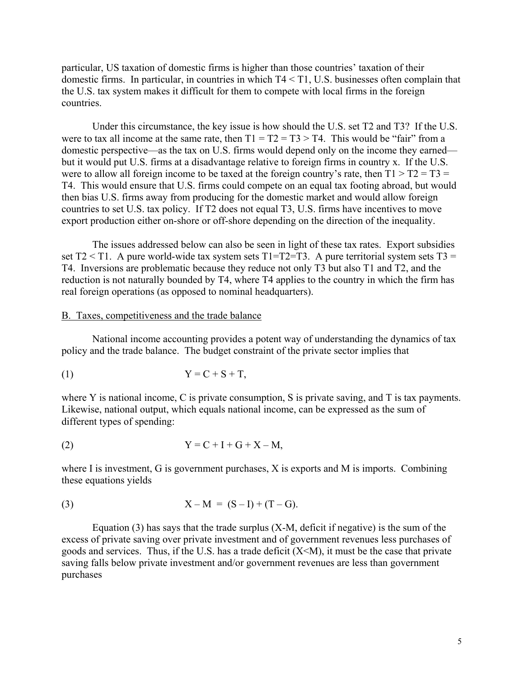particular, US taxation of domestic firms is higher than those countries' taxation of their domestic firms. In particular, in countries in which T4 < T1, U.S. businesses often complain that the U.S. tax system makes it difficult for them to compete with local firms in the foreign countries.

Under this circumstance, the key issue is how should the U.S. set T2 and T3? If the U.S. were to tax all income at the same rate, then  $T1 = T2 = T3 > T4$ . This would be "fair" from a domestic perspective—as the tax on U.S. firms would depend only on the income they earned but it would put U.S. firms at a disadvantage relative to foreign firms in country x. If the U.S. were to allow all foreign income to be taxed at the foreign country's rate, then  $T1 > T2 = T3$ T4. This would ensure that U.S. firms could compete on an equal tax footing abroad, but would then bias U.S. firms away from producing for the domestic market and would allow foreign countries to set U.S. tax policy. If T2 does not equal T3, U.S. firms have incentives to move export production either on-shore or off-shore depending on the direction of the inequality.

The issues addressed below can also be seen in light of these tax rates. Export subsidies set  $T2 < T1$ . A pure world-wide tax system sets  $T1=T2=T3$ . A pure territorial system sets  $T3 =$ T4. Inversions are problematic because they reduce not only T3 but also T1 and T2, and the reduction is not naturally bounded by T4, where T4 applies to the country in which the firm has real foreign operations (as opposed to nominal headquarters).

#### B. Taxes, competitiveness and the trade balance

National income accounting provides a potent way of understanding the dynamics of tax policy and the trade balance. The budget constraint of the private sector implies that

$$
(1) \t Y = C + S + T,
$$

where Y is national income, C is private consumption, S is private saving, and T is tax payments. Likewise, national output, which equals national income, can be expressed as the sum of different types of spending:

$$
Y = C + I + G + X - M,
$$

where I is investment, G is government purchases, X is exports and M is imports. Combining these equations yields

(3) 
$$
X - M = (S - I) + (T - G).
$$

Equation  $(3)$  has says that the trade surplus  $(X-M)$ , deficit if negative) is the sum of the excess of private saving over private investment and of government revenues less purchases of goods and services. Thus, if the U.S. has a trade deficit  $(X \le M)$ , it must be the case that private saving falls below private investment and/or government revenues are less than government purchases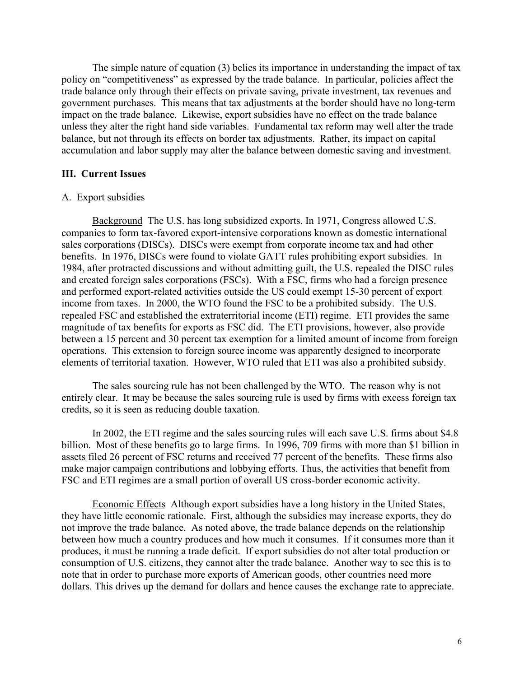The simple nature of equation (3) belies its importance in understanding the impact of tax policy on "competitiveness" as expressed by the trade balance. In particular, policies affect the trade balance only through their effects on private saving, private investment, tax revenues and government purchases. This means that tax adjustments at the border should have no long-term impact on the trade balance. Likewise, export subsidies have no effect on the trade balance unless they alter the right hand side variables. Fundamental tax reform may well alter the trade balance, but not through its effects on border tax adjustments. Rather, its impact on capital accumulation and labor supply may alter the balance between domestic saving and investment.

### **III. Current Issues**

#### A. Export subsidies

Background The U.S. has long subsidized exports. In 1971, Congress allowed U.S. companies to form tax-favored export-intensive corporations known as domestic international sales corporations (DISCs). DISCs were exempt from corporate income tax and had other benefits. In 1976, DISCs were found to violate GATT rules prohibiting export subsidies. In 1984, after protracted discussions and without admitting guilt, the U.S. repealed the DISC rules and created foreign sales corporations (FSCs). With a FSC, firms who had a foreign presence and performed export-related activities outside the US could exempt 15-30 percent of export income from taxes. In 2000, the WTO found the FSC to be a prohibited subsidy. The U.S. repealed FSC and established the extraterritorial income (ETI) regime. ETI provides the same magnitude of tax benefits for exports as FSC did. The ETI provisions, however, also provide between a 15 percent and 30 percent tax exemption for a limited amount of income from foreign operations. This extension to foreign source income was apparently designed to incorporate elements of territorial taxation. However, WTO ruled that ETI was also a prohibited subsidy.

The sales sourcing rule has not been challenged by the WTO. The reason why is not entirely clear. It may be because the sales sourcing rule is used by firms with excess foreign tax credits, so it is seen as reducing double taxation.

In 2002, the ETI regime and the sales sourcing rules will each save U.S. firms about \$4.8 billion. Most of these benefits go to large firms. In 1996, 709 firms with more than \$1 billion in assets filed 26 percent of FSC returns and received 77 percent of the benefits. These firms also make major campaign contributions and lobbying efforts. Thus, the activities that benefit from FSC and ETI regimes are a small portion of overall US cross-border economic activity.

Economic Effects Although export subsidies have a long history in the United States, they have little economic rationale. First, although the subsidies may increase exports, they do not improve the trade balance. As noted above, the trade balance depends on the relationship between how much a country produces and how much it consumes. If it consumes more than it produces, it must be running a trade deficit. If export subsidies do not alter total production or consumption of U.S. citizens, they cannot alter the trade balance. Another way to see this is to note that in order to purchase more exports of American goods, other countries need more dollars. This drives up the demand for dollars and hence causes the exchange rate to appreciate.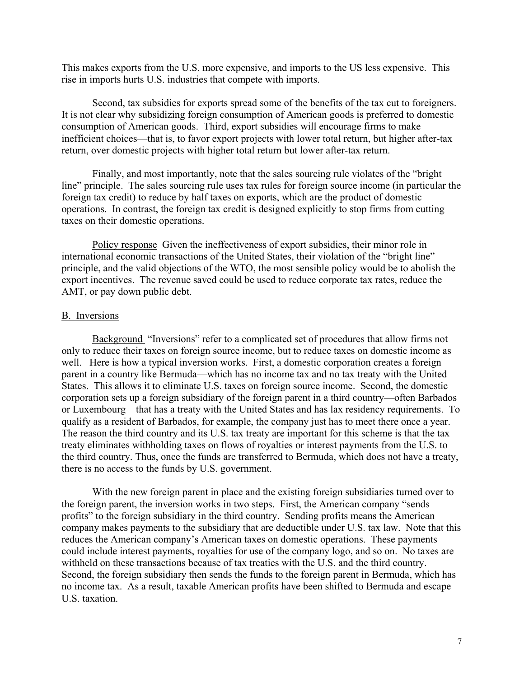This makes exports from the U.S. more expensive, and imports to the US less expensive. This rise in imports hurts U.S. industries that compete with imports.

Second, tax subsidies for exports spread some of the benefits of the tax cut to foreigners. It is not clear why subsidizing foreign consumption of American goods is preferred to domestic consumption of American goods. Third, export subsidies will encourage firms to make inefficient choices—that is, to favor export projects with lower total return, but higher after-tax return, over domestic projects with higher total return but lower after-tax return.

Finally, and most importantly, note that the sales sourcing rule violates of the "bright line" principle. The sales sourcing rule uses tax rules for foreign source income (in particular the foreign tax credit) to reduce by half taxes on exports, which are the product of domestic operations. In contrast, the foreign tax credit is designed explicitly to stop firms from cutting taxes on their domestic operations.

Policy response Given the ineffectiveness of export subsidies, their minor role in international economic transactions of the United States, their violation of the "bright line" principle, and the valid objections of the WTO, the most sensible policy would be to abolish the export incentives. The revenue saved could be used to reduce corporate tax rates, reduce the AMT, or pay down public debt.

#### B. Inversions

Background "Inversions" refer to a complicated set of procedures that allow firms not only to reduce their taxes on foreign source income, but to reduce taxes on domestic income as well. Here is how a typical inversion works. First, a domestic corporation creates a foreign parent in a country like Bermuda—which has no income tax and no tax treaty with the United States. This allows it to eliminate U.S. taxes on foreign source income. Second, the domestic corporation sets up a foreign subsidiary of the foreign parent in a third country—often Barbados or Luxembourg—that has a treaty with the United States and has lax residency requirements. To qualify as a resident of Barbados, for example, the company just has to meet there once a year. The reason the third country and its U.S. tax treaty are important for this scheme is that the tax treaty eliminates withholding taxes on flows of royalties or interest payments from the U.S. to the third country. Thus, once the funds are transferred to Bermuda, which does not have a treaty, there is no access to the funds by U.S. government.

With the new foreign parent in place and the existing foreign subsidiaries turned over to the foreign parent, the inversion works in two steps. First, the American company "sends profits" to the foreign subsidiary in the third country. Sending profits means the American company makes payments to the subsidiary that are deductible under U.S. tax law. Note that this reduces the American company's American taxes on domestic operations. These payments could include interest payments, royalties for use of the company logo, and so on. No taxes are withheld on these transactions because of tax treaties with the U.S. and the third country. Second, the foreign subsidiary then sends the funds to the foreign parent in Bermuda, which has no income tax. As a result, taxable American profits have been shifted to Bermuda and escape U.S. taxation.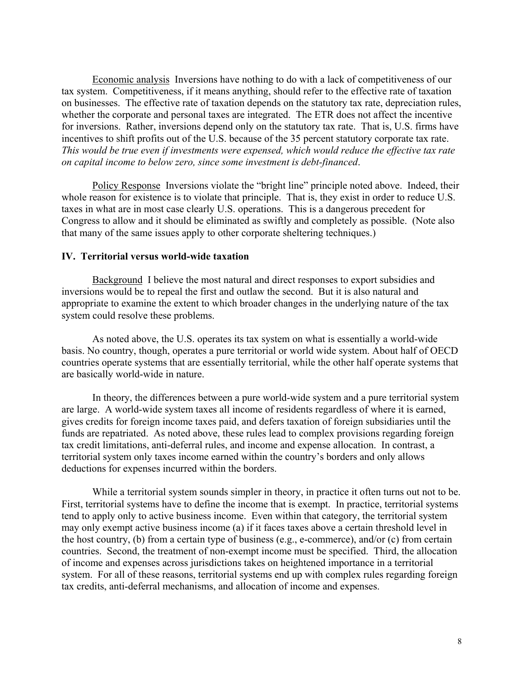Economic analysis Inversions have nothing to do with a lack of competitiveness of our tax system. Competitiveness, if it means anything, should refer to the effective rate of taxation on businesses. The effective rate of taxation depends on the statutory tax rate, depreciation rules, whether the corporate and personal taxes are integrated. The ETR does not affect the incentive for inversions. Rather, inversions depend only on the statutory tax rate. That is, U.S. firms have incentives to shift profits out of the U.S. because of the 35 percent statutory corporate tax rate. *This would be true even if investments were expensed, which would reduce the effective tax rate on capital income to below zero, since some investment is debt-financed*.

Policy Response Inversions violate the "bright line" principle noted above. Indeed, their whole reason for existence is to violate that principle. That is, they exist in order to reduce U.S. taxes in what are in most case clearly U.S. operations. This is a dangerous precedent for Congress to allow and it should be eliminated as swiftly and completely as possible. (Note also that many of the same issues apply to other corporate sheltering techniques.)

#### **IV. Territorial versus world-wide taxation**

Background I believe the most natural and direct responses to export subsidies and inversions would be to repeal the first and outlaw the second. But it is also natural and appropriate to examine the extent to which broader changes in the underlying nature of the tax system could resolve these problems.

As noted above, the U.S. operates its tax system on what is essentially a world-wide basis. No country, though, operates a pure territorial or world wide system. About half of OECD countries operate systems that are essentially territorial, while the other half operate systems that are basically world-wide in nature.

In theory, the differences between a pure world-wide system and a pure territorial system are large. A world-wide system taxes all income of residents regardless of where it is earned, gives credits for foreign income taxes paid, and defers taxation of foreign subsidiaries until the funds are repatriated. As noted above, these rules lead to complex provisions regarding foreign tax credit limitations, anti-deferral rules, and income and expense allocation. In contrast, a territorial system only taxes income earned within the country's borders and only allows deductions for expenses incurred within the borders.

While a territorial system sounds simpler in theory, in practice it often turns out not to be. First, territorial systems have to define the income that is exempt. In practice, territorial systems tend to apply only to active business income. Even within that category, the territorial system may only exempt active business income (a) if it faces taxes above a certain threshold level in the host country, (b) from a certain type of business (e.g., e-commerce), and/or (c) from certain countries. Second, the treatment of non-exempt income must be specified. Third, the allocation of income and expenses across jurisdictions takes on heightened importance in a territorial system. For all of these reasons, territorial systems end up with complex rules regarding foreign tax credits, anti-deferral mechanisms, and allocation of income and expenses.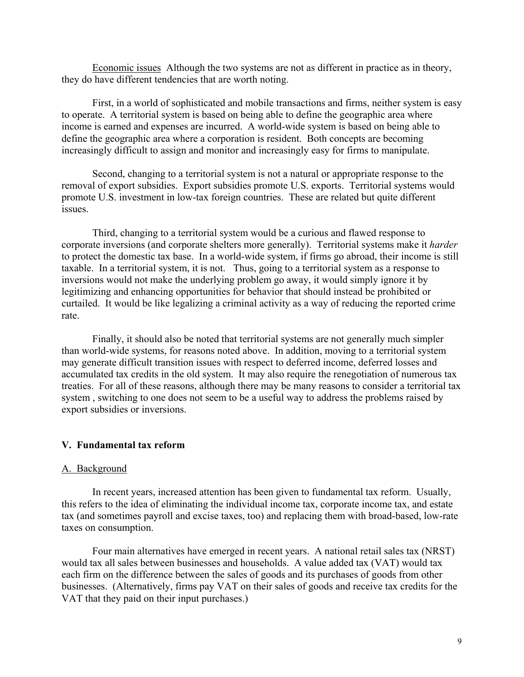Economic issues Although the two systems are not as different in practice as in theory, they do have different tendencies that are worth noting.

First, in a world of sophisticated and mobile transactions and firms, neither system is easy to operate. A territorial system is based on being able to define the geographic area where income is earned and expenses are incurred. A world-wide system is based on being able to define the geographic area where a corporation is resident. Both concepts are becoming increasingly difficult to assign and monitor and increasingly easy for firms to manipulate.

Second, changing to a territorial system is not a natural or appropriate response to the removal of export subsidies. Export subsidies promote U.S. exports. Territorial systems would promote U.S. investment in low-tax foreign countries. These are related but quite different issues.

Third, changing to a territorial system would be a curious and flawed response to corporate inversions (and corporate shelters more generally). Territorial systems make it *harder* to protect the domestic tax base. In a world-wide system, if firms go abroad, their income is still taxable. In a territorial system, it is not. Thus, going to a territorial system as a response to inversions would not make the underlying problem go away, it would simply ignore it by legitimizing and enhancing opportunities for behavior that should instead be prohibited or curtailed. It would be like legalizing a criminal activity as a way of reducing the reported crime rate.

Finally, it should also be noted that territorial systems are not generally much simpler than world-wide systems, for reasons noted above. In addition, moving to a territorial system may generate difficult transition issues with respect to deferred income, deferred losses and accumulated tax credits in the old system. It may also require the renegotiation of numerous tax treaties. For all of these reasons, although there may be many reasons to consider a territorial tax system , switching to one does not seem to be a useful way to address the problems raised by export subsidies or inversions.

#### **V. Fundamental tax reform**

#### A. Background

In recent years, increased attention has been given to fundamental tax reform. Usually, this refers to the idea of eliminating the individual income tax, corporate income tax, and estate tax (and sometimes payroll and excise taxes, too) and replacing them with broad-based, low-rate taxes on consumption.

Four main alternatives have emerged in recent years. A national retail sales tax (NRST) would tax all sales between businesses and households. A value added tax (VAT) would tax each firm on the difference between the sales of goods and its purchases of goods from other businesses. (Alternatively, firms pay VAT on their sales of goods and receive tax credits for the VAT that they paid on their input purchases.)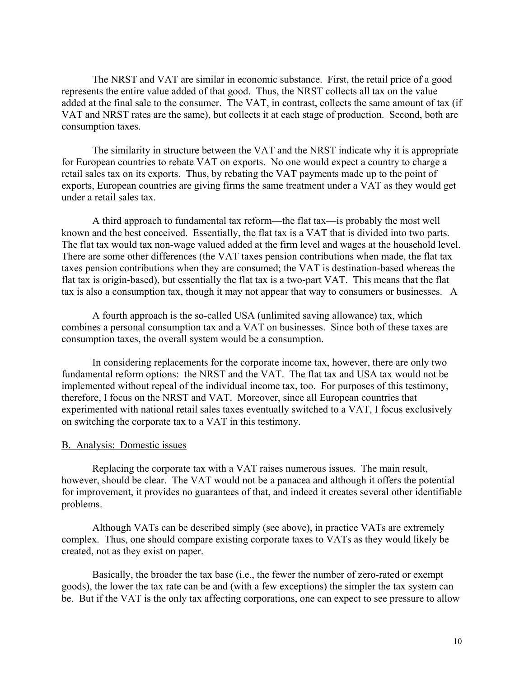The NRST and VAT are similar in economic substance. First, the retail price of a good represents the entire value added of that good. Thus, the NRST collects all tax on the value added at the final sale to the consumer. The VAT, in contrast, collects the same amount of tax (if VAT and NRST rates are the same), but collects it at each stage of production. Second, both are consumption taxes.

The similarity in structure between the VAT and the NRST indicate why it is appropriate for European countries to rebate VAT on exports. No one would expect a country to charge a retail sales tax on its exports. Thus, by rebating the VAT payments made up to the point of exports, European countries are giving firms the same treatment under a VAT as they would get under a retail sales tax.

A third approach to fundamental tax reform—the flat tax—is probably the most well known and the best conceived. Essentially, the flat tax is a VAT that is divided into two parts. The flat tax would tax non-wage valued added at the firm level and wages at the household level. There are some other differences (the VAT taxes pension contributions when made, the flat tax taxes pension contributions when they are consumed; the VAT is destination-based whereas the flat tax is origin-based), but essentially the flat tax is a two-part VAT. This means that the flat tax is also a consumption tax, though it may not appear that way to consumers or businesses. A

A fourth approach is the so-called USA (unlimited saving allowance) tax, which combines a personal consumption tax and a VAT on businesses. Since both of these taxes are consumption taxes, the overall system would be a consumption.

In considering replacements for the corporate income tax, however, there are only two fundamental reform options: the NRST and the VAT. The flat tax and USA tax would not be implemented without repeal of the individual income tax, too. For purposes of this testimony, therefore, I focus on the NRST and VAT. Moreover, since all European countries that experimented with national retail sales taxes eventually switched to a VAT, I focus exclusively on switching the corporate tax to a VAT in this testimony.

#### B. Analysis: Domestic issues

Replacing the corporate tax with a VAT raises numerous issues. The main result, however, should be clear. The VAT would not be a panacea and although it offers the potential for improvement, it provides no guarantees of that, and indeed it creates several other identifiable problems.

Although VATs can be described simply (see above), in practice VATs are extremely complex. Thus, one should compare existing corporate taxes to VATs as they would likely be created, not as they exist on paper.

Basically, the broader the tax base (i.e., the fewer the number of zero-rated or exempt goods), the lower the tax rate can be and (with a few exceptions) the simpler the tax system can be. But if the VAT is the only tax affecting corporations, one can expect to see pressure to allow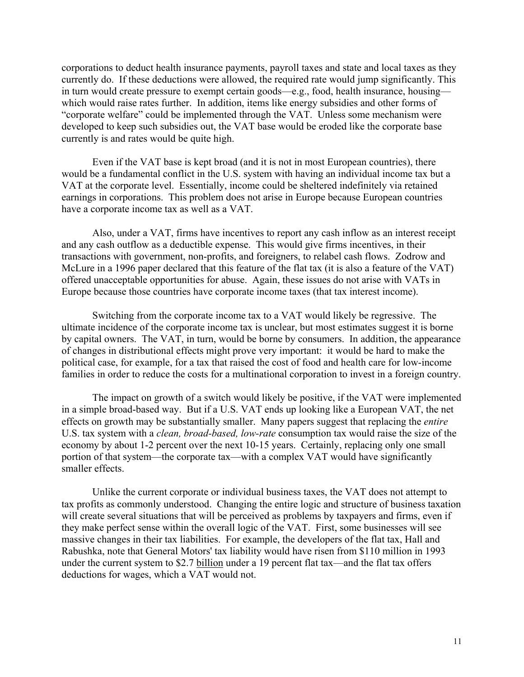corporations to deduct health insurance payments, payroll taxes and state and local taxes as they currently do. If these deductions were allowed, the required rate would jump significantly. This in turn would create pressure to exempt certain goods—e.g., food, health insurance, housing which would raise rates further. In addition, items like energy subsidies and other forms of "corporate welfare" could be implemented through the VAT. Unless some mechanism were developed to keep such subsidies out, the VAT base would be eroded like the corporate base currently is and rates would be quite high.

Even if the VAT base is kept broad (and it is not in most European countries), there would be a fundamental conflict in the U.S. system with having an individual income tax but a VAT at the corporate level. Essentially, income could be sheltered indefinitely via retained earnings in corporations. This problem does not arise in Europe because European countries have a corporate income tax as well as a VAT.

Also, under a VAT, firms have incentives to report any cash inflow as an interest receipt and any cash outflow as a deductible expense. This would give firms incentives, in their transactions with government, non-profits, and foreigners, to relabel cash flows. Zodrow and McLure in a 1996 paper declared that this feature of the flat tax (it is also a feature of the VAT) offered unacceptable opportunities for abuse. Again, these issues do not arise with VATs in Europe because those countries have corporate income taxes (that tax interest income).

Switching from the corporate income tax to a VAT would likely be regressive. The ultimate incidence of the corporate income tax is unclear, but most estimates suggest it is borne by capital owners. The VAT, in turn, would be borne by consumers. In addition, the appearance of changes in distributional effects might prove very important: it would be hard to make the political case, for example, for a tax that raised the cost of food and health care for low-income families in order to reduce the costs for a multinational corporation to invest in a foreign country.

The impact on growth of a switch would likely be positive, if the VAT were implemented in a simple broad-based way. But if a U.S. VAT ends up looking like a European VAT, the net effects on growth may be substantially smaller. Many papers suggest that replacing the *entire* U.S. tax system with a *clean, broad-based, low-rate* consumption tax would raise the size of the economy by about 1-2 percent over the next 10-15 years. Certainly, replacing only one small portion of that system—the corporate tax—with a complex VAT would have significantly smaller effects.

Unlike the current corporate or individual business taxes, the VAT does not attempt to tax profits as commonly understood. Changing the entire logic and structure of business taxation will create several situations that will be perceived as problems by taxpayers and firms, even if they make perfect sense within the overall logic of the VAT. First, some businesses will see massive changes in their tax liabilities. For example, the developers of the flat tax, Hall and Rabushka, note that General Motors' tax liability would have risen from \$110 million in 1993 under the current system to \$2.7 billion under a 19 percent flat tax—and the flat tax offers deductions for wages, which a VAT would not.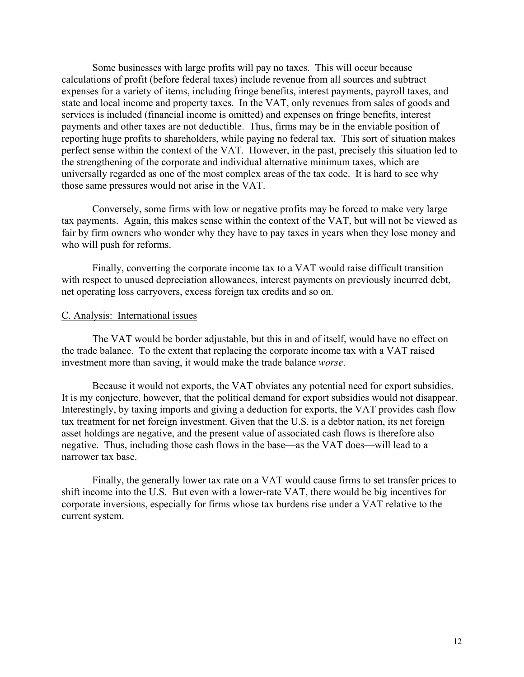Some businesses with large profits will pay no taxes. This will occur because calculations of profit (before federal taxes) include revenue from all sources and subtract expenses for a variety of items, including fringe benefits, interest payments, payroll taxes, and state and local income and property taxes. In the VAT, only revenues from sales of goods and services is included (financial income is omitted) and expenses on fringe benefits, interest payments and other taxes are not deductible. Thus, firms may be in the enviable position of reporting huge profits to shareholders, while paying no federal tax. This sort of situation makes perfect sense within the context of the VAT. However, in the past, precisely this situation led to the strengthening of the corporate and individual alternative minimum taxes, which are universally regarded as one of the most complex areas of the tax code. It is hard to see why those same pressures would not arise in the VAT.

Conversely, some firms with low or negative profits may be forced to make very large tax payments. Again, this makes sense within the context of the VAT, but will not be viewed as fair by firm owners who wonder why they have to pay taxes in years when they lose money and who will push for reforms.

Finally, converting the corporate income tax to a VAT would raise difficult transition with respect to unused depreciation allowances, interest payments on previously incurred debt, net operating loss carryovers, excess foreign tax credits and so on.

### C. Analysis: International issues

The VAT would be border adjustable, but this in and of itself, would have no effect on the trade balance. To the extent that replacing the corporate income tax with a VAT raised investment more than saving, it would make the trade balance *worse*.

Because it would not exports, the VAT obviates any potential need for export subsidies. It is my conjecture, however, that the political demand for export subsidies would not disappear. Interestingly, by taxing imports and giving a deduction for exports, the VAT provides cash flow tax treatment for net foreign investment. Given that the U.S. is a debtor nation, its net foreign asset holdings are negative, and the present value of associated cash flows is therefore also negative. Thus, including those cash flows in the base—as the VAT does—will lead to a narrower tax base.

Finally, the generally lower tax rate on a VAT would cause firms to set transfer prices to shift income into the U.S. But even with a lower-rate VAT, there would be big incentives for corporate inversions, especially for firms whose tax burdens rise under a VAT relative to the current system.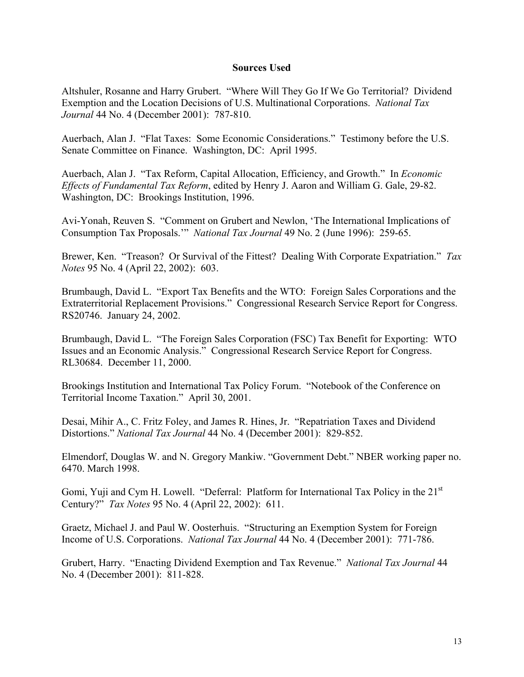### **Sources Used**

Altshuler, Rosanne and Harry Grubert. "Where Will They Go If We Go Territorial? Dividend Exemption and the Location Decisions of U.S. Multinational Corporations. *National Tax Journal* 44 No. 4 (December 2001): 787-810.

Auerbach, Alan J. "Flat Taxes: Some Economic Considerations." Testimony before the U.S. Senate Committee on Finance. Washington, DC: April 1995.

Auerbach, Alan J. "Tax Reform, Capital Allocation, Efficiency, and Growth." In *Economic Effects of Fundamental Tax Reform*, edited by Henry J. Aaron and William G. Gale, 29-82. Washington, DC: Brookings Institution, 1996.

Avi-Yonah, Reuven S. "Comment on Grubert and Newlon, 'The International Implications of Consumption Tax Proposals.'" *National Tax Journal* 49 No. 2 (June 1996): 259-65.

Brewer, Ken. "Treason? Or Survival of the Fittest? Dealing With Corporate Expatriation." *Tax Notes* 95 No. 4 (April 22, 2002): 603.

Brumbaugh, David L. "Export Tax Benefits and the WTO: Foreign Sales Corporations and the Extraterritorial Replacement Provisions." Congressional Research Service Report for Congress. RS20746. January 24, 2002.

Brumbaugh, David L. "The Foreign Sales Corporation (FSC) Tax Benefit for Exporting: WTO Issues and an Economic Analysis." Congressional Research Service Report for Congress. RL30684. December 11, 2000.

Brookings Institution and International Tax Policy Forum. "Notebook of the Conference on Territorial Income Taxation." April 30, 2001.

Desai, Mihir A., C. Fritz Foley, and James R. Hines, Jr. "Repatriation Taxes and Dividend Distortions." *National Tax Journal* 44 No. 4 (December 2001): 829-852.

Elmendorf, Douglas W. and N. Gregory Mankiw. "Government Debt." NBER working paper no. 6470. March 1998.

Gomi, Yuji and Cym H. Lowell. "Deferral: Platform for International Tax Policy in the 21<sup>st</sup> Century?" *Tax Notes* 95 No. 4 (April 22, 2002): 611.

Graetz, Michael J. and Paul W. Oosterhuis. "Structuring an Exemption System for Foreign Income of U.S. Corporations. *National Tax Journal* 44 No. 4 (December 2001): 771-786.

Grubert, Harry. "Enacting Dividend Exemption and Tax Revenue." *National Tax Journal* 44 No. 4 (December 2001): 811-828.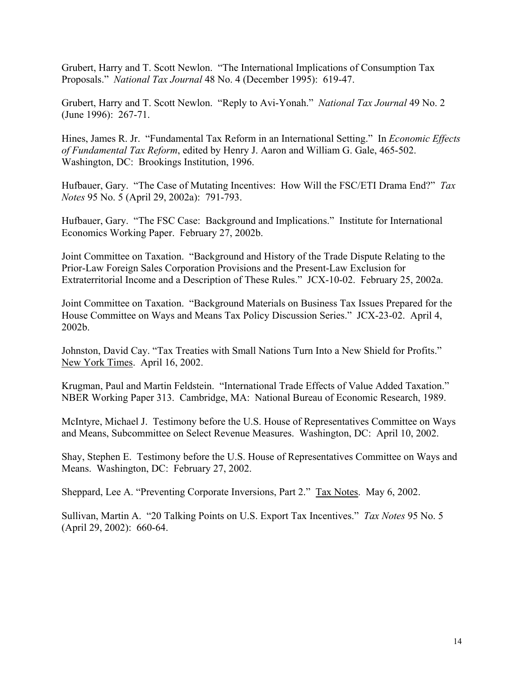Grubert, Harry and T. Scott Newlon. "The International Implications of Consumption Tax Proposals." *National Tax Journal* 48 No. 4 (December 1995): 619-47.

Grubert, Harry and T. Scott Newlon. "Reply to Avi-Yonah." *National Tax Journal* 49 No. 2 (June 1996): 267-71.

Hines, James R. Jr. "Fundamental Tax Reform in an International Setting." In *Economic Effects of Fundamental Tax Reform*, edited by Henry J. Aaron and William G. Gale, 465-502. Washington, DC: Brookings Institution, 1996.

Hufbauer, Gary. "The Case of Mutating Incentives: How Will the FSC/ETI Drama End?" *Tax Notes* 95 No. 5 (April 29, 2002a): 791-793.

Hufbauer, Gary. "The FSC Case: Background and Implications." Institute for International Economics Working Paper. February 27, 2002b.

Joint Committee on Taxation. "Background and History of the Trade Dispute Relating to the Prior-Law Foreign Sales Corporation Provisions and the Present-Law Exclusion for Extraterritorial Income and a Description of These Rules." JCX-10-02. February 25, 2002a.

Joint Committee on Taxation. "Background Materials on Business Tax Issues Prepared for the House Committee on Ways and Means Tax Policy Discussion Series." JCX-23-02. April 4, 2002b.

Johnston, David Cay. "Tax Treaties with Small Nations Turn Into a New Shield for Profits." New York Times. April 16, 2002.

Krugman, Paul and Martin Feldstein. "International Trade Effects of Value Added Taxation." NBER Working Paper 313. Cambridge, MA: National Bureau of Economic Research, 1989.

McIntyre, Michael J. Testimony before the U.S. House of Representatives Committee on Ways and Means, Subcommittee on Select Revenue Measures. Washington, DC: April 10, 2002.

Shay, Stephen E. Testimony before the U.S. House of Representatives Committee on Ways and Means. Washington, DC: February 27, 2002.

Sheppard, Lee A. "Preventing Corporate Inversions, Part 2." Tax Notes. May 6, 2002.

Sullivan, Martin A. "20 Talking Points on U.S. Export Tax Incentives." *Tax Notes* 95 No. 5 (April 29, 2002): 660-64.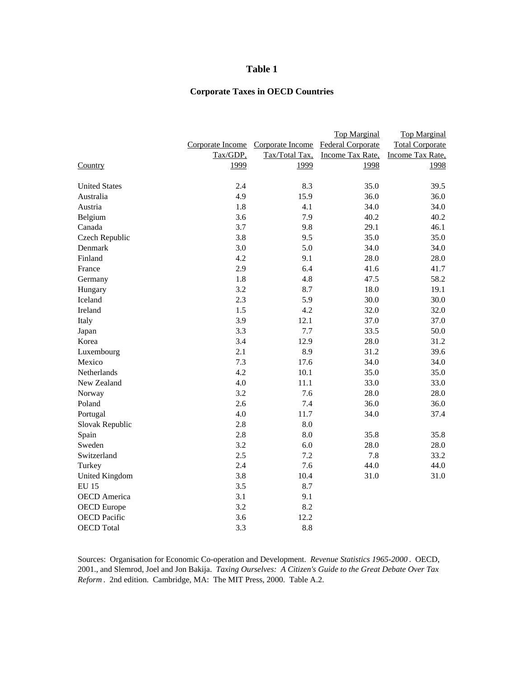#### **Table 1**

## **Corporate Taxes in OECD Countries**

|                      |                  |                  | <b>Top Marginal</b>      | <b>Top Marginal</b>    |
|----------------------|------------------|------------------|--------------------------|------------------------|
|                      | Corporate Income | Corporate Income | <b>Federal Corporate</b> | <b>Total Corporate</b> |
|                      | Tax/GDP,         | Tax/Total Tax,   | Income Tax Rate,         | Income Tax Rate,       |
| Country              | 1999             | 1999             | 1998                     | 1998                   |
| <b>United States</b> | 2.4              | 8.3              | 35.0                     | 39.5                   |
| Australia            | 4.9              | 15.9             | 36.0                     | 36.0                   |
| Austria              | 1.8              | 4.1              | 34.0                     | 34.0                   |
| Belgium              | 3.6              | 7.9              | 40.2                     | 40.2                   |
| Canada               | 3.7              | 9.8              | 29.1                     | 46.1                   |
| Czech Republic       | 3.8              | 9.5              | 35.0                     | 35.0                   |
| Denmark              | 3.0              | 5.0              | 34.0                     | 34.0                   |
| Finland              | 4.2              | 9.1              | 28.0                     | 28.0                   |
| France               | 2.9              | 6.4              | 41.6                     | 41.7                   |
| Germany              | 1.8              | 4.8              | 47.5                     | 58.2                   |
| Hungary              | 3.2              | 8.7              | 18.0                     | 19.1                   |
| Iceland              | 2.3              | 5.9              | 30.0                     | 30.0                   |
| Ireland              | 1.5              | 4.2              | 32.0                     | 32.0                   |
| Italy                | 3.9              | 12.1             | 37.0                     | 37.0                   |
| Japan                | 3.3              | 7.7              | 33.5                     | 50.0                   |
| Korea                | 3.4              | 12.9             | 28.0                     | 31.2                   |
| Luxembourg           | 2.1              | 8.9              | 31.2                     | 39.6                   |
| Mexico               | 7.3              | 17.6             | 34.0                     | 34.0                   |
| <b>Netherlands</b>   | 4.2              | 10.1             | 35.0                     | 35.0                   |
| New Zealand          | 4.0              | 11.1             | 33.0                     | 33.0                   |
| Norway               | 3.2              | 7.6              | 28.0                     | 28.0                   |
| Poland               | 2.6              | 7.4              | 36.0                     | 36.0                   |
| Portugal             | 4.0              | 11.7             | 34.0                     | 37.4                   |
| Slovak Republic      | 2.8              | 8.0              |                          |                        |
| Spain                | 2.8              | 8.0              | 35.8                     | 35.8                   |
| Sweden               | 3.2              | 6.0              | 28.0                     | 28.0                   |
| Switzerland          | 2.5              | 7.2              | 7.8                      | 33.2                   |
| Turkey               | 2.4              | 7.6              | 44.0                     | 44.0                   |
| United Kingdom       | 3.8              | 10.4             | 31.0                     | 31.0                   |
| <b>EU 15</b>         | 3.5              | 8.7              |                          |                        |
| <b>OECD</b> America  | 3.1              | 9.1              |                          |                        |
| <b>OECD</b> Europe   | 3.2              | 8.2              |                          |                        |
| <b>OECD</b> Pacific  | 3.6              | 12.2             |                          |                        |
| <b>OECD</b> Total    | 3.3              | 8.8              |                          |                        |
|                      |                  |                  |                          |                        |

Sources: Organisation for Economic Co-operation and Development. *Revenue Statistics 1965-2000* . OECD, 2001., and Slemrod, Joel and Jon Bakija. *Taxing Ourselves: A Citizen's Guide to the Great Debate Over Tax Reform* . 2nd edition. Cambridge, MA: The MIT Press, 2000. Table A.2.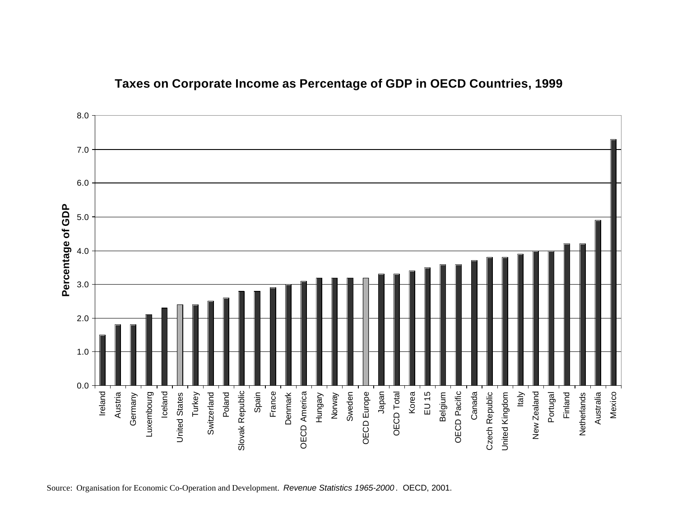

## **Taxes on Corporate Income as Percentage of GDP in OECD Countries, 1999**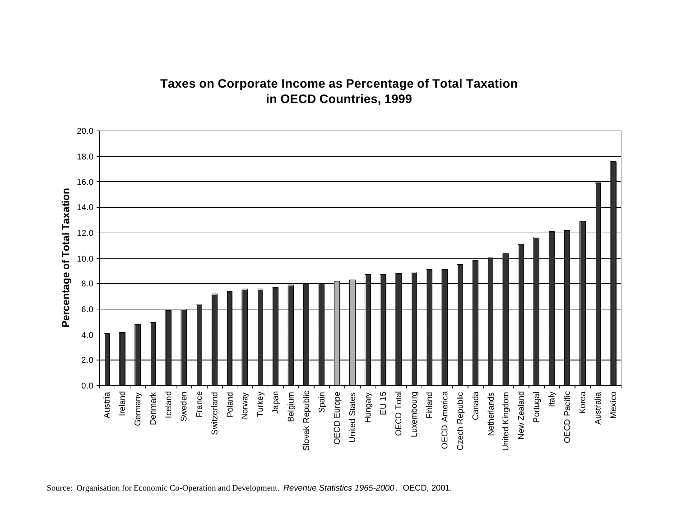# **Taxes on Corporate Income as Percentage of Total Taxation in OECD Countries, 1999**

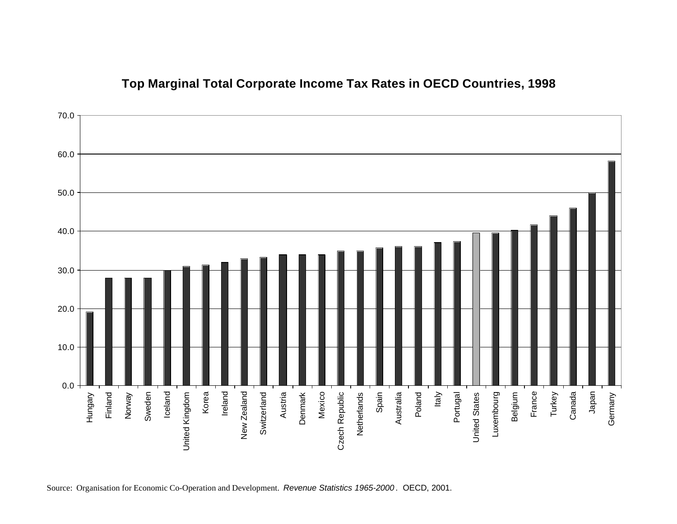

## **Top Marginal Total Corporate Income Tax Rates in OECD Countries, 1998**

Source: Organisation for Economic Co-Operation and Development. *Revenue Statistics 1965-2000* . OECD, 2001.